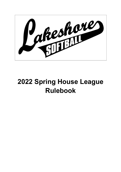

# **2022 Spring House League Rulebook**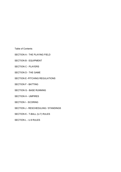Table of Contents

- SECTION A THE PLAYING FIELD
- SECTION B EQUIPMENT
- SECTION C PLAYERS
- SECTION D THE GAME
- SECTION E -PITCHING REGULATIONS
- SECTION F BATTING
- SECTION G BASE RUNNING
- SECTION H UMPIRES
- SECTION I SCORING
- SECTION J RESCHEDULING / STANDINGS
- SECTION K T-BALL (U-7) RULES
- SECTION L U-9 RULES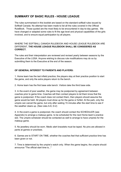# **SUMMARY OF BASIC RULES - HOUSE LEAGUE**

The rules summarised in this booklet are based on the standard softball rules issued by Softball Canada. No attempt has been made to list all the rules covered in the Official RuleBook. Those quoted are the most likely to be encountered in day-to-day games. We have changed or adapted some rules to fit the age level and physical capabilities of the girls involved, and to ensure equal participation by all players.

WHERE THE SOFTBALL CANADA RULEBOOK AND HOUSE LEAGUE RULEBOOK ARE DIFFERENT, **THE HOUSE LEAGUE RULEBOOK SHALL BE CONSIDERED AS CORRECT.**

The rules and their interpretation are reviewed and revised yearly between seasons by the Executive of the LGSA. Anyone wishing to discuss rule modifications may do so by submitting them to the Executive at the end of the season.

## **OF GENERAL INTEREST TO PARENTS AND PLAYERS:**

1. Home team has the last infield practice; the players stay at their practice position to start the game, and only the extra players return to the bench.

2. Home team has the first base side bench. Visitors take the third base side.

3. In the event of poor weather, the game may be postponed by agreement between coaches prior to game time. Coaches will then contact players to let them know that the game is postponed. If the coach does not contact them, then players should assume the game would be held. All players must show up for the game or forfeit. At the park, only the umpire can cancel the game, but only after waiting 15 minutes after the start time to see if the weather clears up. (See rules A-6, D-2)

4. In the event a game is postponed, the coach should contact the SCHEDULER (see Appendix) to arrange a makeup game. to be scheduled for the next Home team's practice slot. The umpire scheduler should be contacted as well to arrange to have umpires for the makeup game.

5. No jewellery should be worn. Medic alert bracelets must be taped. No pins are allowed in pants at games or practises.

6. Games are to START ON TIME, whether the coaches feel that sufficient practice time has been given or not.

7. Time is determined by the umpire's watch only. When the game begins, the umpire should announce "The official start time is..."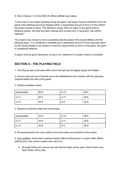8. Rule 4 Section 10 of the 2003-04 official softball rules states

"In the event of any player bleeding during the game, that player must be withdrawn from the game if the bleeding cannot be stopped within a reasonable amount of time or if the uniform becomes covered in blood. The withdrawn player shall not return to the game until all bleeding ceases, the area has been cleaned and covered and, if necessary, the uniform replaced."

The umpire may choose to have a substitute take the place of the injured athlete until the bleeding stops. If no substitute is available and a reasonable amount of time has been given for the injured athlete to be treated or meet the requirements to return to the game, the game is considered forfeiture.

A player shall be given permission to play in an undershirt if no spare uniform is available.

## **SECTION A - THE PLAYING FIELD**

1. The Playing field is the area within which the ball may be legally played and fielded.

2. Ground rules and out of bounds are to be established by the umpires with the opposing coaches before the start of the game.

3. Distance between bases:

| Intermediate | 60 ft. | $U-13$ | 60 ft  |
|--------------|--------|--------|--------|
| $U-17$       | 60 ft  | $U-11$ | 45 ft. |
| $U-15$       | 60 ft  | $U-9$  | 45 ft. |

4. Distance of pitcher's plate from home plate:

| Intermediate | 43 ft. | $U-13$ | 38 ft  |
|--------------|--------|--------|--------|
| $U-17$       | 43 ft. | $U-11$ | 35 ft. |
| $U-15$       | 40 ft. | $U-9$  | 30 ft. |

5. All measurements are to be made by the home team and checked by the umpire.

6. Poor weather: Home team coaches (before official starting time) or umpire (after official starting time) may cancel a game (see rule D-2).

● Borough Parks and Leisure may ask that the fields not be used. Chief Umpire may deem fields unfit to play.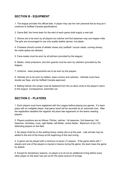## **SECTION B - EQUIPMENT**

1. The league provides the official bats. A player may use her own personal bat as long as it conforms to Softball Canada specifications.

2. Game Ball: the home team for the start of each game shall supply a new ball.

3. Gloves are to be worn by all players but catcher and first baseman may use trapper mitts. The girls are encouraged to use only quality leather gloves, not plastic.

4. Footwear should consist of athletic shoes only (softball / soccer cleats, running shoes). No metal spikes are allowed.

5. Face-masks must be worn by all pitchers (provided by the league).

6. Masks, chest protectors, and shin guards must be worn by catchers (provided by the league).

7. Uniforms - team jerseys/shirts are to be worn by the players.

8. Helmets are to be worn by batters, base runners and catchers. Helmets must have double ear flaps, and be Softball Canada approved.

9. Batting helmet chin straps must be fastened from the on-deck circle to the player's return to the dugout. Consequence: automatic out.

## **SECTION C - PLAYERS**

1. Each players must have registered with the League before playing any games. If a team plays with an ineligible player, that game result will be recorded as an automatic loss. After the registration deadline the registrar will place late registrants on the teams needing players.

2. Players positions are as follows: Pitcher, catcher, 1st baseman, 2nd baseman, 3rd baseman, shortstop, rover, right fielder, left fielder, centre fielder. Maximum of ten (10) defending players on the field.

3. No player shall be on the starting lineup unless she is at the park. Late arrivals may be added to the end of the lineup at the beginning of the next inning.

4. A game can be played with a minimum of seven (7) players. If the game starts with 7 players and one of the players is injured or leaves during the game, the team loses the game by default.

5. Except for disciplinary reasons, no player is to sit out an additional inning before every other player on the team has sat out for the same amount of innings.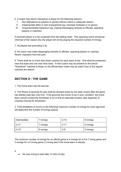- 6. A coach may bench (discipline) a player for the following reasons:
	- I. Non-attendance at practice or games without notice or adequate reason;
	- II. Inappropriate attire or lack of equipment (eg. Improper footwear or no glove);
	- III. Unsportsmanlike behaviour (eg. making disparaging remarks to officials, opposing players or coaches).

A benched player is to be scratched from the batting order. The opposing coach should be informed of the reason why the player will not be playing the required number of innings.

7. All players bat (excluding C-6)

8. No coach may make disparaging remarks to officials, opposing players or coaches. Result: expulsion from the park.

9. There shall be no more than three coaches for each team at bat. One shall be positioned near first base and one near third base. A third coach may be present on the bench. "Substitute" coaches to those on the official team roster may be used if any of the regular coaches are absent.

## **SECTION D - THE GAME**

1. The home team has the last bat.

2. The fitness of grounds for play shall be decided solely by the plate umpire after the game has started (see also rule A-6). If the grounds are known to be in poor condition, the home team should contact the Scheduler to try to find an alternate location (see Appendix of coaches manual for Scheduler).

3. Time limitations (2 hours) or the following maximum number of innings for each age level will determine the number of innings played:

| Intermediate | rinnings  | $U-13$ | 6 innings |
|--------------|-----------|--------|-----------|
| $U-17$       | 7 innings | $U-11$ | 5 innings |
| $U-15$       | 6 innings | U-9    | 5 innings |

The minimum number of innings for an official game is 4 innings for a 6 & 7 inning game and 3 innings for a 5 inning game (½ inning less if the home team is ahead).

4.

No new inning to start after 1h 40m of play.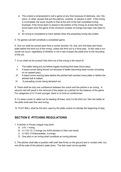- The umpire is empowered to call a game at any time because of darkness, rain, fire, panic, or other causes that put the patrons, umpires, or players in peril. If the inning is incomplete, the score reverts to that at the end of the last completed inning. Example: if the home team is ahead in the bottom of the inning (is at bat) then the home team wins the game (if the minimum number of innings has been met (Sect D-3).
- An inning is considered to have started when the preceding inning has ended.

5. Tie games can/will constitute a completed game.

6. One run shall be scored each time a runner touches 1st, 2nd, and 3rd base and home plate before the third out of the inning, unless the third out is a force play. In this case a run would not count, regardless of whether or not it had crossed the plate prior to the recording of the out.

7. A run shall not be scored if the third out of the inning is the result of:

- I. The batter being put out before legally touching first base (force play);
- II. A base-runner being forced out because of batter becoming base-runner (including on an appeal play);
- III. A base-runner leaving base before the pitched ball reaches home plate or before the pitched ball is batted;
- IV. A preceding runner being declared out.

8. There shall be only one conference between the coach and the pitcher in an inning. A second visit will result in the removal of the player as a pitcher for the balance of the game. For categories of U-13 and younger, there is no limit on conferences.

9. If a base runner is called out for leading off base, and it is the third out, then the batter at the plate shall start the next inning.

10. PLAY BALL shall be the term used by the plate umpire to indicate the beginning of play.

# **SECTION E -PITCHING REGULATIONS**

- 1. A pitcher in House League may pitch:
	- A. U-9: 1 inning
	- B. U-11/U-13: 2 innings (no A/AA pitchers in their own level)
	- C. U-15/U-17/Intermediate: 3 innings
	- D. One pitch in an inning shall constitute an inning pitched.

2. The pitcher shall take a position with both feet firmly on the ground and in contact with, but not off the side of the pitcher's plate (line). The feet need not be parallel.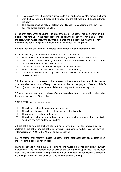- I. Before each pitch, the pitcher must come to a full and complete stop facing the batter with the hips in line with first and third base, and the ball held in both hands in front of the body.
- II. This position must be held for at least one (1) second and not more than ten (10) seconds before starting the pitch.

3. The pitch starts when one hand is taken off the ball or the pitcher makes any motion that is part of her wind-up. In the act of delivering the ball, the pitcher must not take more than one step, which must be forward, towards the batter and simultaneous with the delivery of the ball to the batter; the pivot foot must remain in contact with the ground.

4. A legal delivery shall be a ball delivered to the batter with an underhand motion.

5. The pitcher may use any wind-up desired provided she does not:

- I. Make any motion to pitch without immediately delivering the ball to the batter;
- II. Does not use a rocker motion, i.e. takes a forward-backward swing and then returns the ball to both hands in front of the body;
- III. Use a wind-up in which there is a stop or reversal of motion;
- IV. Make more than one revolution in the windmill pitch motion;
- V. Continue to wind-up after taking a step forward which is simultaneous with the release of the ball.

6. In the first inning, or when one pitcher relieves another, no more than one minute may be taken to deliver a maximum of five pitches to the catcher or other players. (See also Rule F-8 part iv.) In each subsequent inning, pitchers will be given three warm-up pitches.

7. The pitcher shall not throw to a base after she has taken the pitching position unless she first steps backwards off the rubber.

8. NO PITCH shall be declared when:

- I. The pitcher pitches during a suspension of play;
- II. The pitcher attempts a quick pitch before the batter is ready;
- III. The runner is called out for leading;
- IV. The pitcher pitches before the base-runner has retouched her base after a foul ball has been declared and the ball is dead.

9. If the ball slips from the pitcher's hand during her wind-up or her back swing, a ball is declared on the batter, and the ball is in play and the runners may advance at their own risk. (Intermediate, U-17, U-15 & U-13 only as per Section G).

10. The catcher shall return the ball to the pitcher immediately after each pitch except when she is holding a base-runner on base.

11. If a pitcher hits 3 batters in any given inning, she must be removed from pitching further in that inning. The replacement shall be allowed the usual 5 warm-up pitches. The replaced pitcher may return in another inning provided that she has not used her pitching allotment of two innings. The inning that she was removed counts as one inning.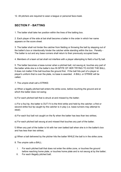12. All pitchers are required to wear a league or personal face-mask.

# **SECTION F - BATTING**

1. The batter shall take her position within the lines of the batting box.

2. Each player of the side at bat shall become a batter in the order in which her name appears on the score sheet.

3. The batter shall not hinder the catcher from fielding or throwing the ball by stepping out of the batter's box or intentionally hinder the catcher while standing within the box. Penalty - The batter is out and any base runners shall return to their previously occupied base.

4. Members of a team at bat shall not interfere with a player attempting to field a foul fly ball.

5. The batter becomes a base-runner when a pitched ball, not swung at, touches any part of the batter while she is in the batter's box IN SPITE OF HER TRYING TO AVOID THE BALL. It does not matter if the ball touches the ground first. If the ball hits part of a player or player's uniform that is over the plate, no base is awarded. A BALL or STRIKE will be called.

7. The umpire shall call a STRIKE:

a) When a legally pitched ball enters the strike zone, before touching the ground and at which the batter does not swing;

b) For each pitched ball that is struck at and missed by the batter;

c) For a foul tip, the batter is OUT if it is the third strike and held by the catcher; a first or second strike foul tip caught by the catcher is in play (i.e. base-runners may attempt to steal).

d) For each foul ball not caught on the fly when the batter has less than two strikes;

e) For each pitched ball swung at and missed that touches any part of the batter;

f) When any part of the batter is hit with her own batted ball when she is in the batter's box and has less than two strikes;

g) When a ball delivered by the pitcher hits the batter WHILE the ball is in the strike zone.

8. The umpire calls a BALL:

- I. For each pitched ball that does not enter the strike zone, or touches the ground before reaching home plate, or touches home plate and is not swung at by the batter;
- II. For each illegally pitched ball;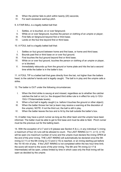- III. When the pitcher fails to pitch within twenty (20) seconds;
- IV. For each excessive warmup pitch.
- 9. A FAIR BALL is a legally batted ball that:
	- I. Settles, or is touched, on or over fairground;
	- II. While on or over fairground, touches the person or clothing of an umpire or player;
- III. First falls on fairground beyond first or third base;
- IV. Lands on the foul line beyond first or third base.

10. A FOUL ball is a legally batted ball that:

- I. Settles on foul ground between home and first base, or home and third base;
- II. Bounds past first or third base on or over foul ground;
- III. First touches the foul ground beyond first or third base;
- IV. While on or over foul ground, touches the person or clothing of an umpire or player, or is blocked;
- V. Immediately rebounds up from the ground or home plate and hits the bat a second time while the batter is in the batter's box.

11. A FOUL TIP is a batted ball that goes directly from the bat, not higher than the batters head, to the catcher's hands and is legally caught. The ball is in play and the umpire calls a strike.

12. The batter is OUT under the following circumstances:

- I. When the third strike is swung at and missed, regardless as to whether the catcher catches the ball or not (i.e. the dropped third strike rule is in effect for only U-13/U-15/U-17/Intermediate levels);
- II. When a foul ball is legally caught (i.e. before it touches the ground or other object);
- III. When the batter throws her bat (a team may receive a warning at the discretion of the umpire). NOTE: if not the third out, the ball is still in play.
- IV. When the batter leaves the box and is hit by the ball outside the batter's box.

13. A batter may have a pinch runner as long as the other team and the umpire have been informed. The batter must be able to get to first base and must be able to field. Pinch runner must be the previous out for the batting team.

14. With the exception of U-7 and U-9 (please see Section K & L), in any individual  $\frac{1}{2}$  inning a maximum of four (4) runs will be allowed to count. The LAST INNING (U-11, U-13, U-15) will be open (no maximum number of runs) and the umpire must declare the inning OPEN at the end of the prior inning. THE LAST INNING will automatically be declared once the 5th inning (U-11) or the 6th inning (U-13 and U-15) is reached, or an inning starting just before the 1hr 40 min of play. If the LAST INNING is not completed within the two hour time limit, the score will revert to the score of the prior inning. The 6th and 7th inning (U-17 & Intermediate) will be open, unless limited by time in which case only the final inning will be open as decided by the umpire.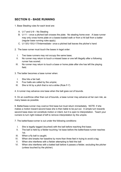# **SECTION G - BASE RUNNING**

- 1. Base Stealing rules for each level are:
	- A. U-7 and U-9 No Stealing
	- B. U-11 once a pitched ball crosses the plate. No stealing home ever. A base runner may only cross home plate on a bases-loaded walk or from a hit ball from a batter (regular base running rules apply).
	- C. U-13/U-15/U-17/Intermediate– once a pitched ball leaves the pitcher's hand
- 2. The base runner must touch the bases in legal order:
	- I. Two base runners may not occupy the same base;
	- II. No runner may return to touch a missed base or one left illegally after a following runner has scored;
	- III. No runner may return to touch a base or home plate after she has left the playing field.
- 3. The batter becomes a base runner when:
	- I. She hits a fair ball;
	- II. Four balls are called by the umpire;
	- III. She is hit by a pitch that is not a strike (Rule F-7)
- 4. A runner may advance one base when the ball goes out of bounds.

5. On an overthrow other than out of bounds, a base runner may advance at her own risk, as many bases as possible.

6. Batter/base-runner may overrun first base but must return immediately. NOTE: if she makes a motion toward second base she is then liable to be put out. A simple turn towards second base does not constitute motion or intent, but it is open to interpretation. Teach your runners to turn right instead of left to remove interpretation by the umpire.

7. The batter/base-runner is out under the following conditions:

- I. She is legally tagged (touched) with the ball before reaching first base;
- II. The ball is held by a fielder touching 1st base before the batter/base-runner reaches 1st;
- III. When a fly ball is caught;
- IV. When she breaks her baseline by more than three feet in trying to avoid a tag;
- V. When she interferes with a fielder attempting to field the ball
- VI. When she interferes with a batted ball before it passes a fielder, excluding the pitcher (unless touched by the pitcher).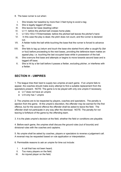- 8. The base runner is out when:
	- I. She breaks her baseline by more than 3 feet trying to avoid a tag;
	- II. She is legally tagged off base;
- III. She leaves her base (leading) either:
- IV. U-11: before the pitched ball crosses home plate;
- V. U-13/U-15/U-17/Intermediate: before the pitched ball leaves the pitcher's hand.
- VI. In this case the play is dead, the pitch does not count, and the runner is declared out.
- VII. A fielder holds the ball while touching the base that the runner is forced to advance to;
- VIII. She fails to tag up (return and touch the base she started from) after a caught fly (fair or foul) before proceeding to the next bases, providing the defensive team makes an appeal play; i.e. touching the last occupied base while in possession of the ball.
	- IX. She overruns first base and attempts or begins to move towards second base and is tagged off base;
	- X. She is hit by a fair ball before it passes a fielder, excluding pitcher, or interferes with a fielder.

## **SECTION H - UMPIRES**

1. The league tries their best to supply two umpires at each game. If an umpire fails to appear, the coaches should make every attempt to find a suitable replacement from the spectators present. NOTE: The game is to be played with only one umpire if necessary.

- U-7 does not have an umpire
- U-9 only has 1 umpire

2. The umpires are to be respected by players, coaches and spectators. The penalty is ejection from the game. At the umpire's discretion, the offender may be warned for the first offence, but for the second offence the offender shall be asked to leave the field. The offender shall not participate in any way after the dismissal. NOTE: The penalty for not leaving is forfeiture of the game by the offending team.

3. It is the plate umpire's decision at the field, whether the field or conditions are playable.

4. Before each game, the umpires shall discuss the ground rules (out of bounds) and divisional rules with the coaches and captains.

5. No umpire shall be asked by coaches, players or spectators to reverse a judgement call. A reversal may be requested based on rule application or interpretation.

6. Permissible reasons to ask an umpire for time out include:

- I. A call that has not been heard;
- II. Too many players on the field;
- III. An injured player on the field;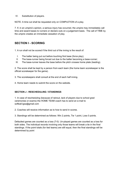IV. Substitution of players.

NOTE: A time out shall be requested only on COMPLETION of a play.

7. If, in an umpire's opinion, a serious injury has occurred, the umpire may immediately call time and award bases to runners or declare outs on a judgement basis. The call of TIME by the umpire creates an immediate cessation of play.

## **SECTION I - SCORING**

1. A run shall not be scored if the third out of the inning is the result of:

- I. The batter being put out before touching first base (force play);
- II. The base-runner being forced out due to the batter becoming a base-runner;
- III. The base-runner leaves the base before the pitch crosses home plate (leading).

2. The score shall be kept by a person from each team (the home team scorekeeper is the official scorekeeper for the game).

3. The scorekeepers shall consult at the end of each half inning.

4. Home team needs to submit the score on the website.

## **SECTION J - RESCHEDULING / STANDINGS**

1. In case of rescheduling (because of rainout, lack of players due to school grad ceremonies or exams) the HOME TEAM coach has to send an e-mail to softball.lgsa@gmail.com

2. Coaches will receive information as to how to send in scores.

3. Standings will be determined as follows: Win 2 points, Tie 1 point, Loss 0 points.

Defaulted games are counted as a loss (7-0). Un-played games are counted as a loss for both sides. The individual records involving only those teams will break a tie in the final standings. If the point totals (for tied teams) are still equal, then the final standings will be determined by point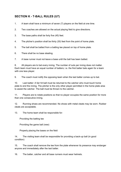# **SECTION K - T-BALL RULES (U7)**

- 1. A team shall have a minimum of seven (7) players on the field at one time.
- 2. Two coaches are allowed on the actual playing field to give directions.
- 3. The base paths shall be forty five (45) feet.

4. The pitcher's position shall be thirty (30) feet from the point of home plate.

- 5. The ball shall be batted from a batting tee placed on top of home plate.
- 6. There shall be no base stealing.

7. A base runner must not leave a base until the ball has been batted.

8. All players are to bat every inning. The number of outs per inning does not matter. Each team must have an equal number of batters; i.e. the first batter bats again for a team with one less player.

9. The coach must notify the opposing team when the last batter comes up to bat.

10. Last batter: A fair hit ball must be returned to the catcher who must touch home plate to end the inning. The pitcher is the only other player permitted in the home plate area to assist the catcher. The ball must be thrown to the catcher.

11. Players are to rotate positions so that no player occupies the same position for more than one consecutive inning.

12. Running shoes are recommended. No shoes with metal cleats may be worn. Rubber cleats are acceptable.

13. The home team shall be responsible for:

Providing the batting tee

Providing the game ball (new)

Properly placing the bases on the field

14. The visiting team shall be responsible for providing a back-up ball (in good condition)

15. The coach shall remove the tee from the plate whenever its presence may endanger anyone and immediately after the last batter.

16. The batter, catcher and all base runners must wear helmets.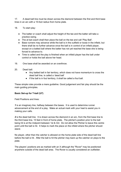17. A dead ball line must be drawn across the diamond between the first and third base lines in an arc with a 15-foot radius from home plate.

18. To start play:

- The batter or coach shall adjust the height of the tee and the batter will take a practice swing.
- The at bat coach shall then place the ball on the tee and call 'Play Ball'.
- Base runners may advance while the ball is in the outfield or loose in the infield, but there shall be no further advance once the ball is in control of an infield player, except on a batted ball where the batter has not yet reached the base she is being forced to advance to.
- Time is called and the play is finished when an infield player has the ball under control or holds the ball above her head.
- 19. One base shall be awarded on an overthrow.
- 20. Dead ball:
	- Any batted ball in fair territory, which does not have momentum to cross the dead ball line, is called a 'dead ball'
	- If the ball is in foul territory, it shall be called a foul ball.

These simple rules provide a mere guideline. Good judgement and fair play should be the main guiding principles.

## **Basic Set-up for T-ball (U7)**

Field Positions and lines:

*1* is an imaginary line, halfway between the bases. It is used to determine runner advancement at the end of a play. Make an actual mark with your heel to assist you in making your calls.

**2** is the dead ball line. It is drawn across the diamond in an arc, from the first base line to the third base line, 15 feet in front of home plate. The pitcher's position prior to the ball being hit is at the midpoint between 1st & 3rd. Do not allow the Pitcher to leave this centre point until the ball is hit. It helps to mark the place on the infield where the pitcher should stand.

No player, other than the catcher is allowed on the home plate side of the dead ball line before the ball is hit. After the ball is hit the pitcher may back up the catcher on plays to the plate.

The players' positions are as marked with an X although the "Rover" may be positioned anywhere outside of the dead ball area. The Rover is usually considered an outfielder.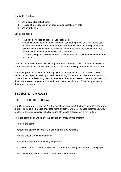The batter is put out:

- 1. On a force play at first base;
- 2. If tagged before reaching first base on a successfully hit ball;
- 3. On a third strike.

Strikes are called:

- 1. If the ball is knocked off the tee use judgement.
- 2. A foul ball counts as a strike, but the batter cannot be put out on a foul. If the ball is hit in fair territory but is not going to reach the dead ball line, the attempt should be called a "Dead Ball" as soon as possible - runners return to the bases where they started. No third strike can be called on a dead ball.
- 3. If a batter swings and misses the ball. This can result in a called third strike and the batter is out.

Outs are recorded in the usual ways: tagged runner, force out, strike out, caught fly ball, etc. There is no maximum number of outs and no mercy rule limiting the number of runs scored.

The batting order is continuous and all players bat in every inning. You need to have the same number of players coming to bat in each inning. For example, if team A is short two players, then in the first inning team A would send the first and second batter to bat a second time. In the second inning the third and fourth batters would start off the inning at bat and they would bat twice.

# **SECTION L - U-9 RULES**

## OBJECTIVES OF THE PROGRAM

The U-10B program, 7 against 7 is the logical continuation of the Learning to Play Program. In order to make the practice of softball more attractive, we are convinced that this new way to play for this age category will allow young athletes to progress while having fun.

Here are some goals we believe we can achieve through this program:

- Promote the game
- Increase the opportunities to hit, to score and to play defensive
- That the player is in constant motion
- Increase the pleasure of athletes (and parents)
- Increase the % of retention athletes who return the following year (interest of the player)
- Decrease competitiveness and the concept of victory-defeat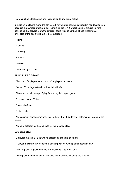- Learning basic techniques and introduction to traditional softball

In addition to playing more, the athlete will have better coaching support in her development because the number of players per team is limited to 10. Coaches must provide training periods so that players learn the different basic rules of softball. These fundamental principles of the sport will have to be developed:

- Hitting
- Pitching
- Catching
- Running
- Throwing
- Defensive game play

#### **PRINCIPLES OF GAME**

- Minimum of 6 players maximum of 10 players per team
- Game of 5 innings to finish or time limit (1h30)
- Three and a half innings of play form a regulatory part game
- Pitchers plate at 30 feet
- Bases at 45 feet
- 11 inch balls

- No maximum points per inning, it is the hit of the 7th batter that determines the end of the inning

- No point differential, the goal is to let the athletes play.

#### **Defensive play:**

- 7 players maximum in defensive position on the field, of which:
- 1 player maximum in defensive at pitcher position (when pitcher coach in play)
- The 7th player is placed behind the baselines (1 to 2 or 2 to 3)
- Other players in the infield on or inside the baselines including the catcher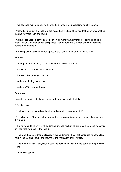- Two coaches maximum allowed on the field to facilitate understanding of the game

- After a full inning of play, players are rotated on the field of play so that a player cannot be inactive for more than one round

- A player cannot field at the same position for more than 2 innings per game (including pitcher-player). In case of non-compliance with the rule, the situation should be rectified before the next throw.

- Surplus players can use the turf space in the field to have learning workshops.

#### **Pitcher:**

- Coach-pitcher (innings 2, 4 & 5): maximum 5 pitches per batter
- The pitching coach pitches to his team
- Player-pitcher (innings 1 and 3):
- maximum 1 inning per pitcher
- maximum 7 throws per batter

#### **Equipment:**

- Wearing a mask is highly recommended for all players in the infield.

Offensive play:

- All players are registered on the starting line up to a maximum of 10.

- At each inning, 7 batters will appear on the plate regardless of the number of outs made in this inning.

- The inning ends when the 7th batter has finished his batting turn and the defensive play is finished (ball returned to the infield).

- If the team has more than 7 players, in the next inning, the at bat continues with the player next in the starting lineup, and returns to the first batter until 7 hitters.

- If the team only has 7 players, we start the next inning with the 2nd batter of the previous round.

- No stealing bases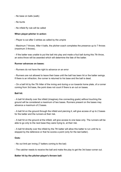- No base on balls (walk)
- No bunts
- No infield fly rule will be called

#### **When player-pitcher in action:**

- Player is out after 3 strikes as called by the umpire

- Maximum 7 throws. After 4 balls, the pitcher-coach completes the presence up to 7 throws (maximum 3 throws).

- If the batter was unable to put the ball into play and made a foul ball during this 7th throw, an extra throw will be awarded which will determine the fate of the batter.

#### **Runner advances on bases:**

- Runners do not have the right to advance on an error

- Runners are not allowed to leave their base until the ball has been hit or the batter swings. If there is an infraction, the runner is returned to his base and the ball is dead.

- On a ball hit by the 7th hitter of the inning and during a run towards home plate, of a runner coming from 3rd base, the point does not count if there is an out on bases.

#### **Ball hit:**

- A ball hit directly over the infield (imaginary line connecting goals) without touching the ground will be considered a maximum of two bases. Runners present on the bases may advance a maximum of 2 bases.

- A ball hit on the ground through the infield and piercing it, will give access of up to 2 bases for the batter and the runners at their risk.

- A ball hit on the ground at the infield, will give access to one base only. The runners will be able to go only to the next base they were trying to, at their risk.

- A ball hit directly over the infield by the 7th batter will allow this batter to run until he is stopped by the defensive or that he scores a point (only for the last batter).

## **Outs:**

- No out limit per inning (7 batters coming to the bat)

- The catcher needs to receive the ball and make the play to get the 3rd base runner out.

## **Batter hit by the pitcher-player's thrown ball:**